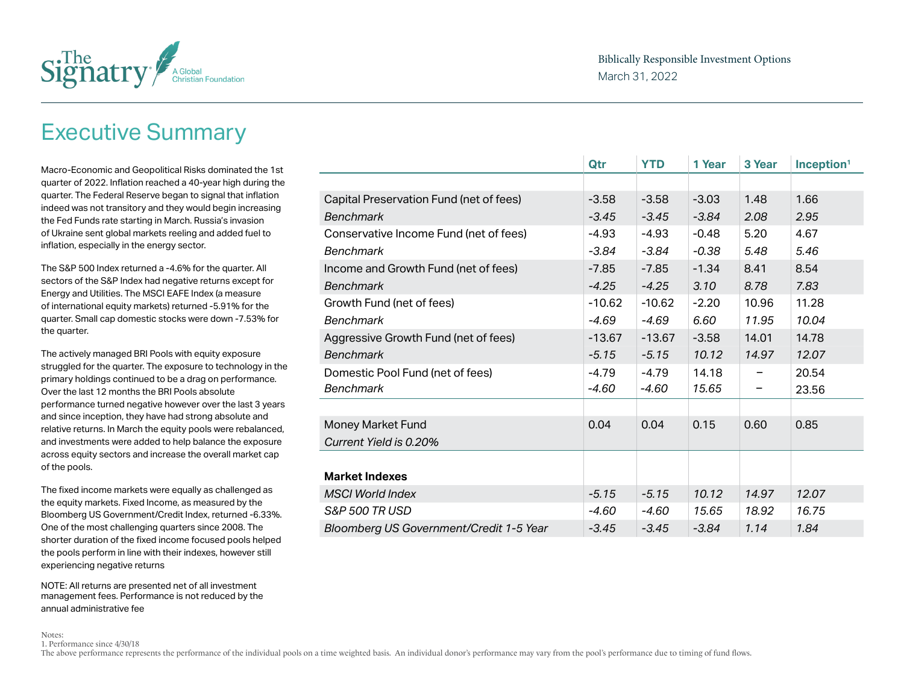

### Executive Summary

Macro-Economic and Geopolitical Risks dominated the 1st quarter of 2022. Inflation reached a 40-year high during the quarter. The Federal Reserve began to signal that inflation indeed was not transitory and they would begin increasing the Fed Funds rate starting in March. Russia's invasion of Ukraine sent global markets reeling and added fuel to inflation, especially in the energy sector.

The S&P 500 Index returned a -4.6% for the quarter. All sectors of the S&P Index had negative returns except for Energy and Utilities. The MSCI EAFE Index (a measure of international equity markets) returned -5.91% for the quarter. Small cap domestic stocks were down -7.53% for the quarter.

The actively managed BRI Pools with equity exposure struggled for the quarter. The exposure to technology in the primary holdings continued to be a drag on performance. Over the last 12 months the BRI Pools absolute performance turned negative however over the last 3 years and since inception, they have had strong absolute and relative returns. In March the equity pools were rebalanced, and investments were added to help balance the exposure across equity sectors and increase the overall market cap of the pools.

The fixed income markets were equally as challenged as the equity markets. Fixed Income, as measured by the Bloomberg US Government/Credit Index, returned -6.33%. One of the most challenging quarters since 2008. The shorter duration of the fixed income focused pools helped the pools perform in line with their indexes, however still experiencing negative returns

NOTE: All returns are presented net of all investment management fees. Performance is not reduced by the annual administrative fee

|                                         | Qtr      | <b>YTD</b> | 1 Year  | 3 Year | Inception <sup>1</sup> |
|-----------------------------------------|----------|------------|---------|--------|------------------------|
|                                         |          |            |         |        |                        |
| Capital Preservation Fund (net of fees) | $-3.58$  | $-3.58$    | $-3.03$ | 1.48   | 1.66                   |
| <b>Benchmark</b>                        | $-3.45$  | $-3.45$    | $-3.84$ | 2.08   | 2.95                   |
| Conservative Income Fund (net of fees)  | $-4.93$  | $-4.93$    | $-0.48$ | 5.20   | 4.67                   |
| <b>Benchmark</b>                        | $-3.84$  | $-3.84$    | $-0.38$ | 5.48   | 5.46                   |
| Income and Growth Fund (net of fees)    | $-7.85$  | $-7.85$    | $-1.34$ | 8.41   | 8.54                   |
| <b>Benchmark</b>                        | $-4.25$  | $-4.25$    | 3.10    | 8.78   | 7.83                   |
| Growth Fund (net of fees)               | $-10.62$ | $-10.62$   | $-2.20$ | 10.96  | 11.28                  |
| <b>Benchmark</b>                        | $-4.69$  | $-4.69$    | 6.60    | 11.95  | 10.04                  |
| Aggressive Growth Fund (net of fees)    | $-13.67$ | $-13.67$   | $-3.58$ | 14.01  | 14.78                  |
| <b>Benchmark</b>                        | $-5.15$  | $-5.15$    | 10.12   | 14.97  | 12.07                  |
| Domestic Pool Fund (net of fees)        | $-4.79$  | $-4.79$    | 14.18   |        | 20.54                  |
| <b>Benchmark</b>                        | $-4.60$  | -4.60      | 15.65   |        | 23.56                  |
|                                         |          |            |         |        |                        |
| Money Market Fund                       | 0.04     | 0.04       | 0.15    | 0.60   | 0.85                   |
| Current Yield is 0.20%                  |          |            |         |        |                        |
|                                         |          |            |         |        |                        |
| <b>Market Indexes</b>                   |          |            |         |        |                        |
| <b>MSCI World Index</b>                 | $-5.15$  | $-5.15$    | 10.12   | 14.97  | 12.07                  |
| <b>S&amp;P 500 TR USD</b>               | $-4.60$  | $-4.60$    | 15.65   | 18.92  | 16.75                  |
| Bloomberg US Government/Credit 1-5 Year | $-3.45$  | $-3.45$    | $-3.84$ | 1.14   | 1.84                   |

Notes: 1. Performance since 4/30/18

The above performance represents the performance of the individual pools on a time weighted basis. An individual donor's performance may vary from the pool's performance due to timing of fund flows.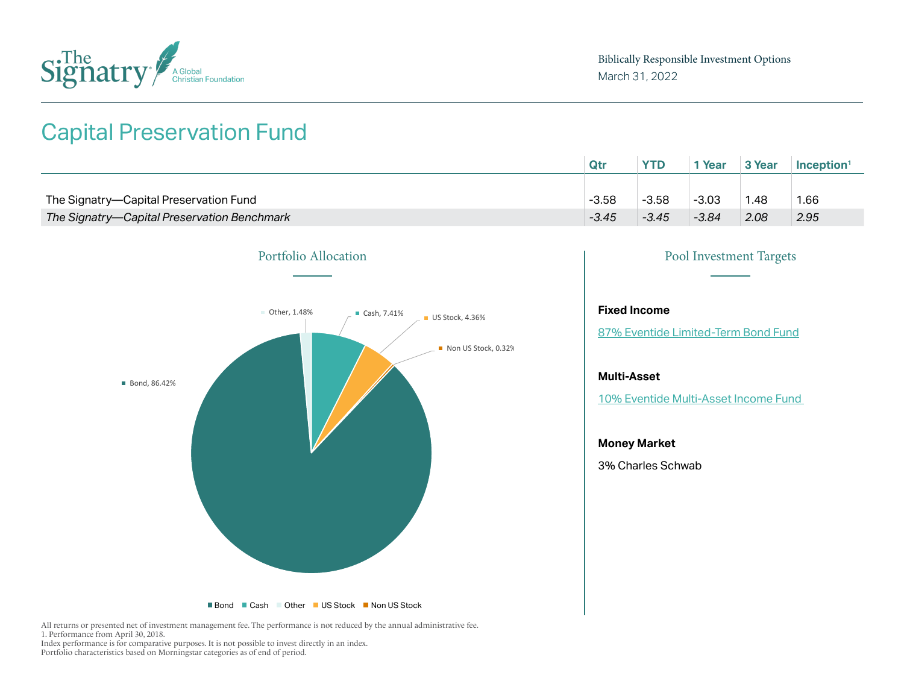

### Capital Preservation Fund

|                                             | Qtı     | <b>YTD</b> | <sup>*</sup> Year | 3 Year | Inception <sup>1</sup> |
|---------------------------------------------|---------|------------|-------------------|--------|------------------------|
|                                             |         |            |                   |        |                        |
| The Signatry-Capital Preservation Fund      | $-3.58$ | $-3.58$    | $-3.03$           | 1.48   | 1.66                   |
| The Signatry-Capital Preservation Benchmark | $-3.45$ | $-3.45$    | $-3.84$           | 2.08   | 2.95                   |



### Portfolio Allocation Pool Investment Targets

#### **Fixed Income**

[87% Eventide Limited-Term Bond Fund](https://www.eventidefunds.com/wp-content/uploads/Eventide-Limited-Term-Bond-Fund-Fact-Sheet-03-31-2022.pdf)

#### **Multi-Asset**

[10% Eventide Multi-Asset Income Fund](https://www.eventidefunds.com/wp-content/uploads/Eventide-Multi-Asset-Income-Fund-Fact-Sheet-03-31-2022.pdf) 

#### **Money Market**

3% Charles Schwab

All returns or presented net of investment management fee. The performance is not reduced by the annual administrative fee. 1. Performance from April 30, 2018. Index performance is for comparative purposes. It is not possible to invest directly in an index.

Portfolio characteristics based on Morningstar categories as of end of period.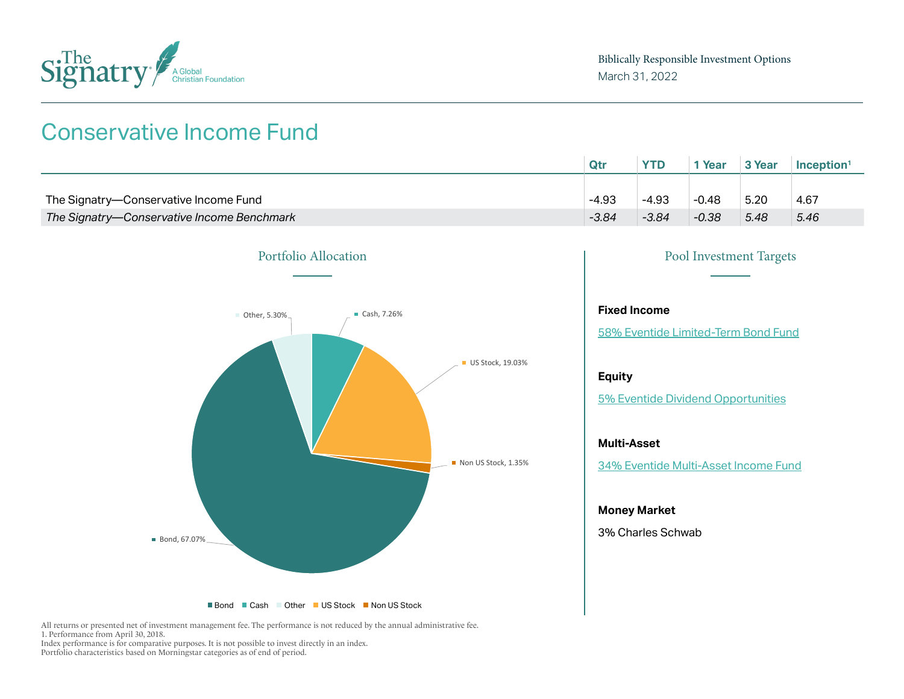

### Conservative Income Fund

|                                            | Qtr     | <b>YTD</b> | <sup>1</sup> Year | 3 Year | <b>Inception</b> |
|--------------------------------------------|---------|------------|-------------------|--------|------------------|
|                                            |         |            |                   |        |                  |
| The Signatry-Conservative Income Fund      | $-4.93$ | $-4.93$    | $-0.48$           | 5.20   | 4.67             |
| The Signatry-Conservative Income Benchmark | $-3.84$ | $-3.84$    | $-0.38$           | 5.48   | 5.46             |



#### **Fixed Income**

58[% Eventide Limited-Term Bond Fund](https://www.eventidefunds.com/wp-content/uploads/Eventide-Dividend-Opportunities-Fund-Fact-Sheet-03-31-2022.pdf)

#### **Equity**

[5% Eventide Dividend Opportunities](https://www.eventidefunds.com/wp-content/uploads/Eventide-Dividend-Opportunities-Fund-Fact-Sheet-09-30-2021.pdf)

#### **Multi-Asset**

34[% Eventide Multi-Asset Income Fund](https://www.eventidefunds.com/wp-content/uploads/Eventide-Multi-Asset-Income-Fund-Fact-Sheet-03-31-2022.pdf)

#### **Money Market**

3% Charles Schwab

All returns or presented net of investment management fee. The performance is not reduced by the annual administrative fee. 1. Performance from April 30, 2018.

Index performance is for comparative purposes. It is not possible to invest directly in an index. Portfolio characteristics based on Morningstar categories as of end of period.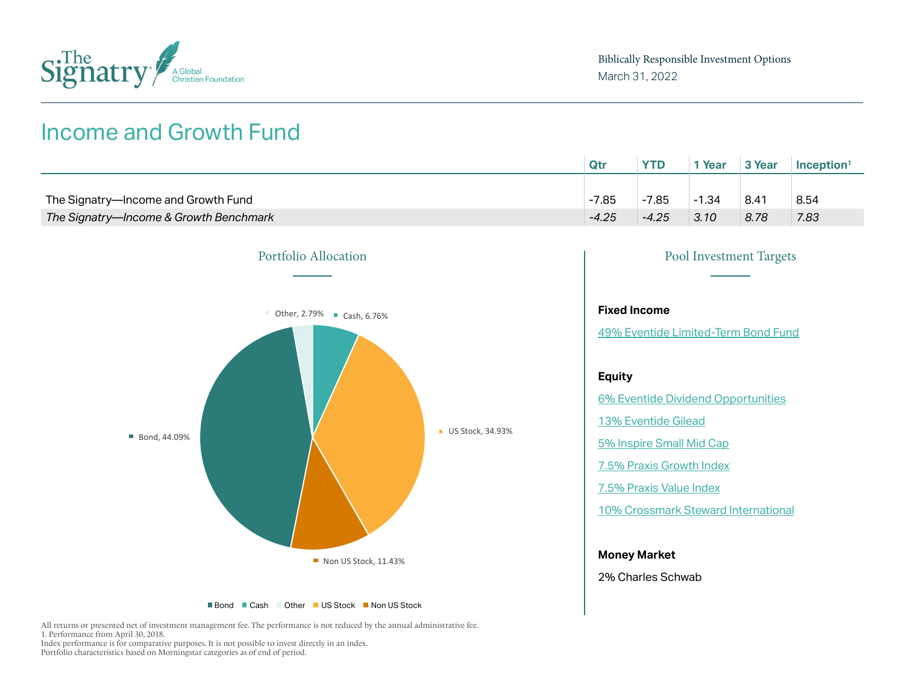

### Income and Growth Fund

|                                        | Qtr     | <b>YTD</b> | Year    | 3 Year | $Inc$ eption <sup>1</sup> |
|----------------------------------------|---------|------------|---------|--------|---------------------------|
|                                        |         |            |         |        |                           |
| The Signatry-Income and Growth Fund    | $-7.85$ | $-7.85$    | $-1.34$ | 8.41   | 8.54                      |
| The Signatry-Income & Growth Benchmark | $-4.25$ | $-4.25$    | 3.10    | 8.78   | 7.83                      |





2% Charles Schwab

All returns or presented net of investment management fee. The performance is not reduced by the annual administrative fee. 1. Performance from April 30, 2018. Index performance is for comparative purposes. It is not possible to invest directly in an index.

Portfolio characteristics based on Morningstar categories as of end of period.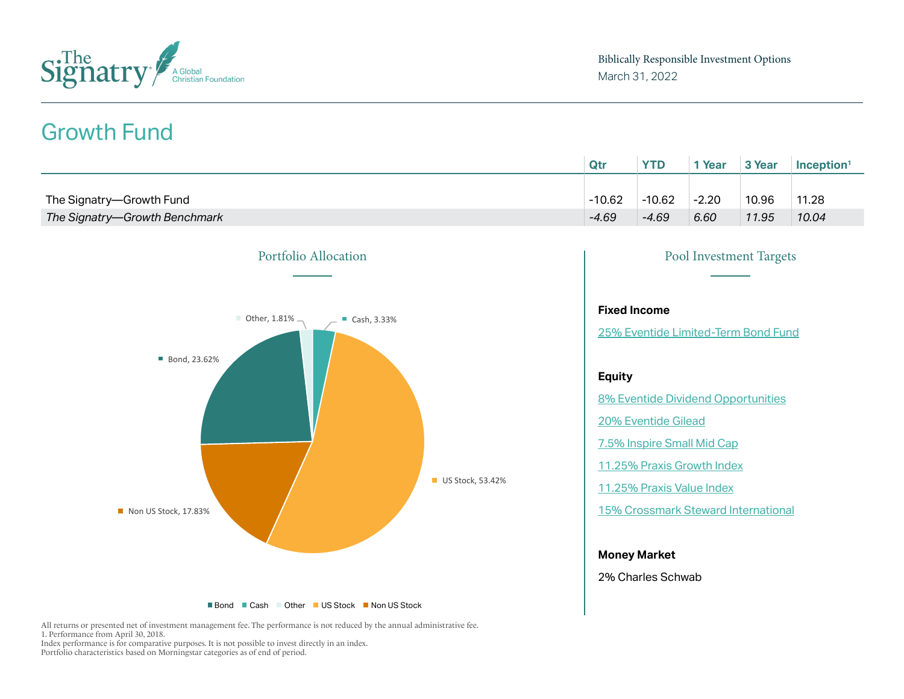

## Growth Fund

|                               | Qtr      | <b>YTD</b> | Year    | 3 Year | Inception <sup>1</sup> |
|-------------------------------|----------|------------|---------|--------|------------------------|
|                               |          |            |         |        |                        |
| The Signatry-Growth Fund      | $-10.62$ | $-10.62$   | $-2.20$ | 10.96  | 11.28                  |
| The Signatry-Growth Benchmark | $-4.69$  | $-4.69$    | 6.60    | 11.95  | 10.04                  |



All returns or presented net of investment management fee. The performance is not reduced by the annual administrative fee. 1. Performance from April 30, 2018. Index performance is for comparative purposes. It is not possible to invest directly in an index.

Portfolio characteristics based on Morningstar categories as of end of period.

| <b>Pool Investment Targets</b>             |
|--------------------------------------------|
|                                            |
| <b>Fixed Income</b>                        |
| 25% Eventide Limited-Term Bond Fund        |
|                                            |
| Equity                                     |
| 8% Eventide Dividend Opportunities         |
| 20% Eventide Gilead                        |
| 7.5% Inspire Small Mid Cap                 |
| 11.25% Praxis Growth Index                 |
| 11.25% Praxis Value Index                  |
| <b>15% Crossmark Steward International</b> |
|                                            |

### **Money Market**

2% Charles Schwab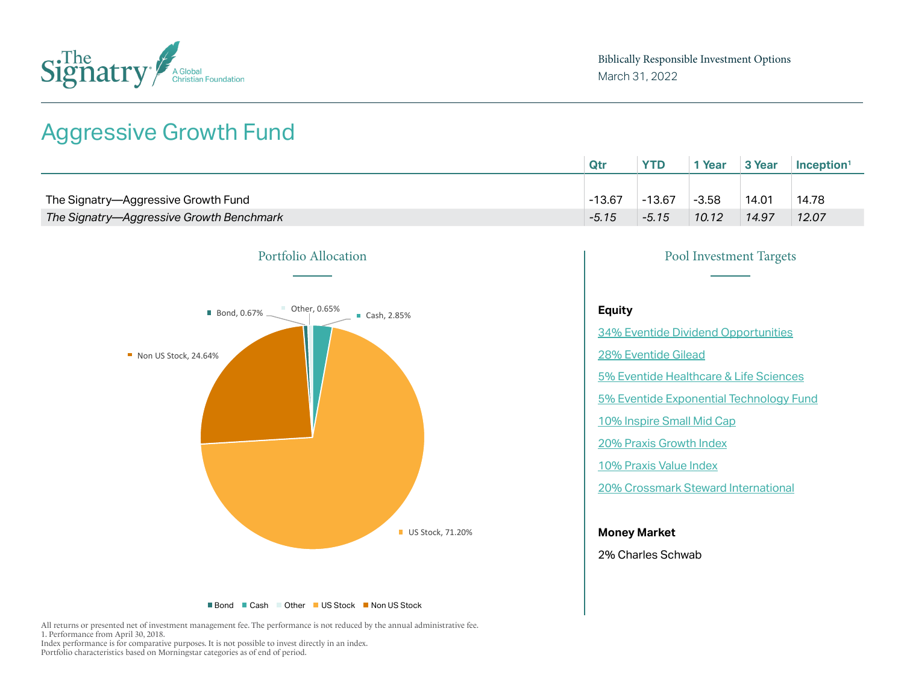

### Aggressive Growth Fund

|                                          | Qtı      | <b>YTD</b> | * Year  | 3 Year | Inception <sup>1</sup> |
|------------------------------------------|----------|------------|---------|--------|------------------------|
|                                          |          |            |         |        |                        |
| The Signatry-Aggressive Growth Fund      | $-13.67$ | $-13.67$   | $-3.58$ | 14.01  | 14.78                  |
| The Signatry-Aggressive Growth Benchmark | $-5.15$  | $-5.15$    | 10.12   | 14.97  | 12.07                  |



■ Bond ■ Cash ■ Other ■ US Stock ■ Non US Stock

All returns or presented net of investment management fee. The performance is not reduced by the annual administrative fee. 1. Performance from April 30, 2018. Index performance is for comparative purposes. It is not possible to invest directly in an index. Portfolio characteristics based on Morningstar categories as of end of period.

# Portfolio Allocation Pool Investment Targets **Equity** 34[% Eventide Dividend Opportunities](https://www.eventidefunds.com/wp-content/uploads/Eventide-Dividend-Opportunities-Fund-Fact-Sheet-03-31-2022.pdf) 28[% Eventide Gilead](https://www.eventidefunds.com/wp-content/uploads/Eventide-Gilead-Fund-Fact-Sheet-03-31-2022.pdf) [5% Eventide Healthcare & Life Sciences](https://www.eventidefunds.com/wp-content/uploads/Eventide-Healthcare-Life-Sciences-Fund-Fact-Sheet-03-31-2022.pdf) 5% Eventide Ex[ponential Technology Fund](https://www.eventidefunds.com/wp-content/uploads/Eventide-Exponential-Technologies-Fund-Fact-Sheet-03-31-2022.pdf) [10% Inspire Small Mid Cap](https://www.inspireetf.com/d/ismd) [20% Praxis Growth Index](https://www.praxismutualfunds.com/praxis-fund-family-performance/praxis-growth-index-fund) [10% Praxis Value Index](https://www.praxismutualfunds.com/praxis-fund-family-performance/praxis-value-index-fund) [20% Crossmark Steward International](https://www.crossmarkglobal.com/wp-content/uploads/Steward-International-FACT-SHEET-12.31.21-FINAL.pdf)

#### **Money Market**

2% Charles Schwab